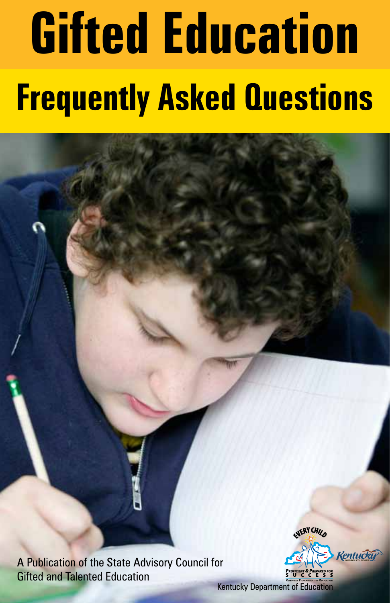# **Gifted Education Frequently Asked Questions**

A Publication of the State Advisory Council for Gifted and Talented Education

NERY CHILD Kentucky

Kentucky Department of Education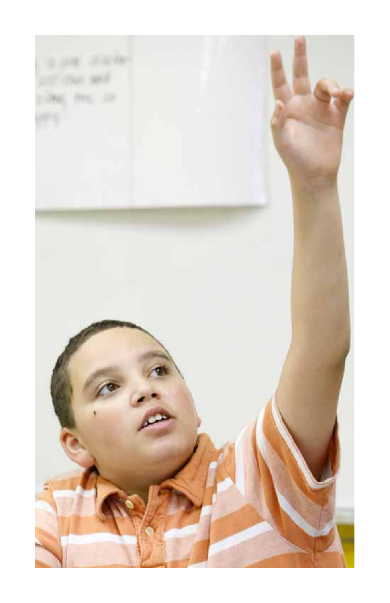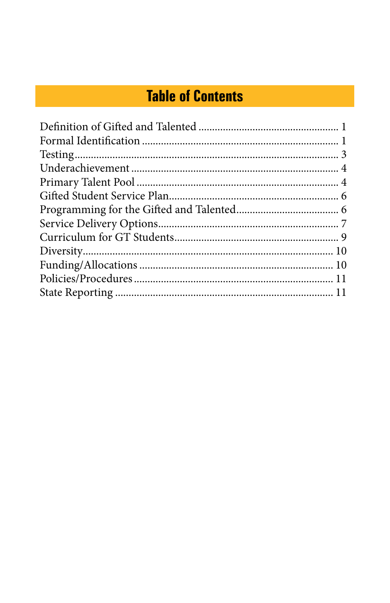# **Table of Contents**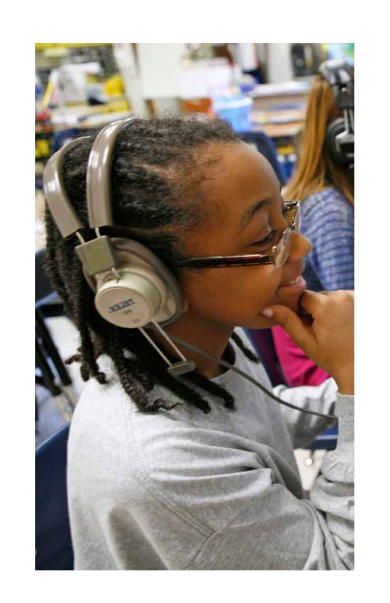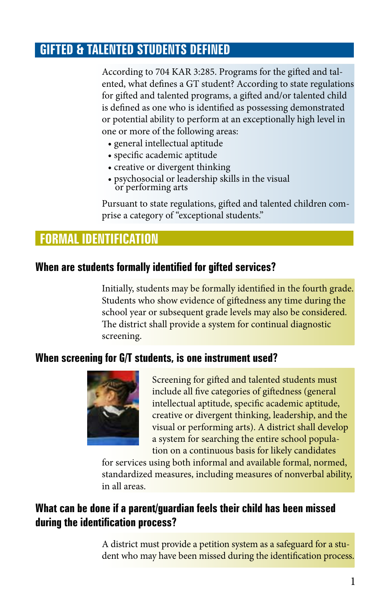# **GIFTED & TALENTED STUDENTS DEFINED**

According to 704 KAR 3:285. Programs for the gifted and talented, what defines a GT student? According to state regulations for gifted and talented programs, a gifted and/or talented child is defined as one who is identified as possessing demonstrated or potential ability to perform at an exceptionally high level in one or more of the following areas:

- general intellectual aptitude
- specific academic aptitude
- creative or divergent thinking
- psychosocial or leadership skills in the visual or performing arts

Pursuant to state regulations, gifted and talented children comprise a category of "exceptional students."

# **FORMAL IDENTIFICATION**

### **When are students formally identified for gifted services?**

Initially, students may be formally identified in the fourth grade. Students who show evidence of giftedness any time during the school year or subsequent grade levels may also be considered. The district shall provide a system for continual diagnostic screening.

### **When screening for G/T students, is one instrument used?**



Screening for gifted and talented students must include all five categories of giftedness (general intellectual aptitude, specific academic aptitude, creative or divergent thinking, leadership, and the visual or performing arts). A district shall develop a system for searching the entire school population on a continuous basis for likely candidates

for services using both informal and available formal, normed, standardized measures, including measures of nonverbal ability, in all areas.

# **What can be done if a parent/guardian feels their child has been missed during the identification process?**

A district must provide a petition system as a safeguard for a student who may have been missed during the identification process.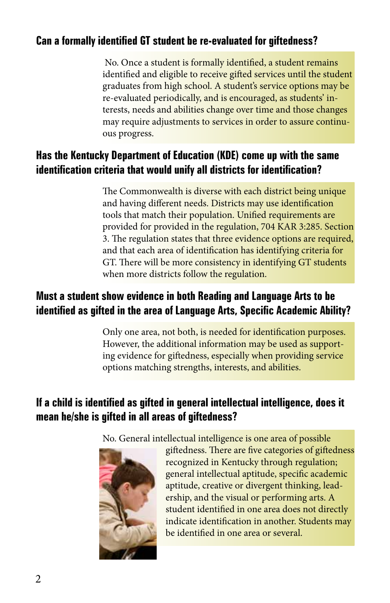# **Can a formally identified GT student be re-evaluated for giftedness?**

 No. Once a student is formally identified, a student remains identified and eligible to receive gifted services until the student graduates from high school. A student's service options may be re-evaluated periodically, and is encouraged, as students' interests, needs and abilities change over time and those changes may require adjustments to services in order to assure continuous progress.

# **Has the Kentucky Department of Education (KDE) come up with the same identification criteria that would unify all districts for identification?**

The Commonwealth is diverse with each district being unique and having different needs. Districts may use identification tools that match their population. Unified requirements are provided for provided in the regulation, 704 KAR 3:285. Section 3. The regulation states that three evidence options are required, and that each area of identification has identifying criteria for GT. There will be more consistency in identifying GT students when more districts follow the regulation.

# **Must a student show evidence in both Reading and Language Arts to be identified as gifted in the area of Language Arts, Specific Academic Ability?**

Only one area, not both, is needed for identification purposes. However, the additional information may be used as supporting evidence for giftedness, especially when providing service options matching strengths, interests, and abilities.

# **If a child is identified as gifted in general intellectual intelligence, does it mean he/she is gifted in all areas of giftedness?**

No. General intellectual intelligence is one area of possible



giftedness. There are five categories of giftedness recognized in Kentucky through regulation; general intellectual aptitude, specific academic aptitude, creative or divergent thinking, leadership, and the visual or performing arts. A student identified in one area does not directly indicate identification in another. Students may be identified in one area or several.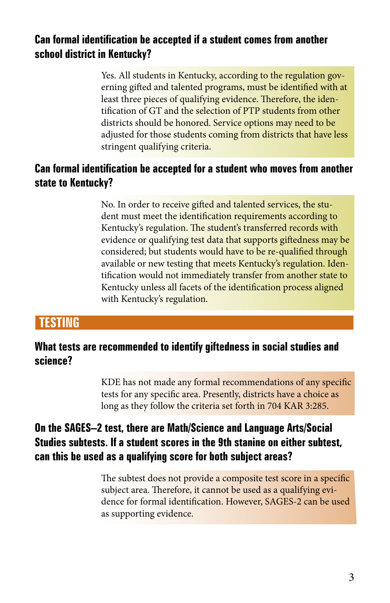# **Can formal identification be accepted if a student comes from another school district in Kentucky?**

Yes. All students in Kentucky, according to the regulation governing gifted and talented programs, must be identified with at least three pieces of qualifying evidence. Therefore, the identification of GT and the selection of PTP students from other districts should be honored. Service options may need to be adjusted for those students coming from districts that have less stringent qualifying criteria.

# **Can formal identification be accepted for a student who moves from another state to Kentucky?**

No. In order to receive gifted and talented services, the student must meet the identification requirements according to Kentucky's regulation. The student's transferred records with evidence or qualifying test data that supports giftedness may be considered; but students would have to be re-qualified through available or new testing that meets Kentucky's regulation. Identification would not immediately transfer from another state to Kentucky unless all facets of the identification process aligned with Kentucky's regulation.

# **TESTING**

# **What tests are recommended to identify giftedness in social studies and science?**

KDE has not made any formal recommendations of any specific tests for any specific area. Presently, districts have a choice as long as they follow the criteria set forth in 704 KAR 3:285.

# **On the SAGES–2 test, there are Math/Science and Language Arts/Social Studies subtests. If a student scores in the 9th stanine on either subtest, can this be used as a qualifying score for both subject areas?**

The subtest does not provide a composite test score in a specific subject area. Therefore, it cannot be used as a qualifying evidence for formal identification. However, SAGES-2 can be used as supporting evidence.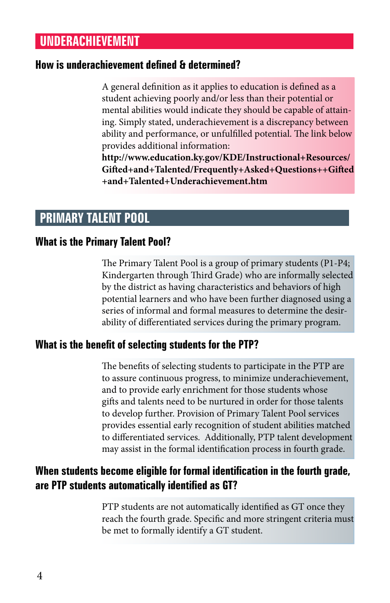# **UNDERACHIEVEMENT**

### **How is underachievement defined & determined?**

A general definition as it applies to education is defined as a student achieving poorly and/or less than their potential or mental abilities would indicate they should be capable of attaining. Simply stated, underachievement is a discrepancy between ability and performance, or unfulfilled potential. The link below provides additional information:

**http://www.education.ky.gov/KDE/Instructional+Resources/ Gifted+and+Talented/Frequently+Asked+Questions++Gifted +and+Talented+Underachievement.htm**

# **PRIMARY TALENT POOL**

### **What is the Primary Talent Pool?**

The Primary Talent Pool is a group of primary students (P1-P4; Kindergarten through Third Grade) who are informally selected by the district as having characteristics and behaviors of high potential learners and who have been further diagnosed using a series of informal and formal measures to determine the desirability of differentiated services during the primary program.

### **What is the benefit of selecting students for the PTP?**

The benefits of selecting students to participate in the PTP are to assure continuous progress, to minimize underachievement, and to provide early enrichment for those students whose gifts and talents need to be nurtured in order for those talents to develop further. Provision of Primary Talent Pool services provides essential early recognition of student abilities matched to differentiated services. Additionally, PTP talent development may assist in the formal identification process in fourth grade.

### **When students become eligible for formal identification in the fourth grade, are PTP students automatically identified as GT?**

PTP students are not automatically identified as GT once they reach the fourth grade. Specific and more stringent criteria must be met to formally identify a GT student.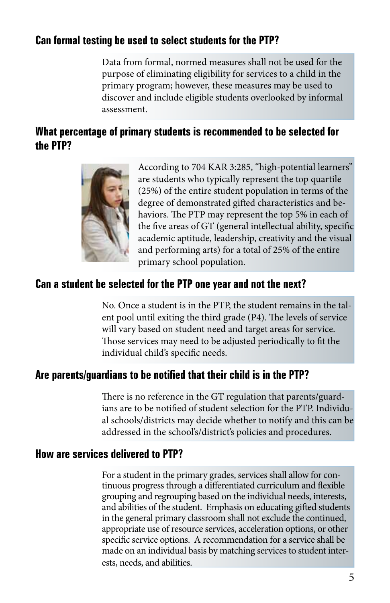# **Can formal testing be used to select students for the PTP?**

Data from formal, normed measures shall not be used for the purpose of eliminating eligibility for services to a child in the primary program; however, these measures may be used to discover and include eligible students overlooked by informal assessment.

# **What percentage of primary students is recommended to be selected for the PTP?**



According to 704 KAR 3:285, "high-potential learners" are students who typically represent the top quartile (25%) of the entire student population in terms of the degree of demonstrated gifted characteristics and behaviors. The PTP may represent the top 5% in each of the five areas of GT (general intellectual ability, specific academic aptitude, leadership, creativity and the visual and performing arts) for a total of 25% of the entire primary school population.

### **Can a student be selected for the PTP one year and not the next?**

No. Once a student is in the PTP, the student remains in the talent pool until exiting the third grade (P4). The levels of service will vary based on student need and target areas for service. Those services may need to be adjusted periodically to fit the individual child's specific needs.

# **Are parents/guardians to be notified that their child is in the PTP?**

There is no reference in the GT regulation that parents/guardians are to be notified of student selection for the PTP. Individual schools/districts may decide whether to notify and this can be addressed in the school's/district's policies and procedures.

### **How are services delivered to PTP?**

For a student in the primary grades, services shall allow for continuous progress through a differentiated curriculum and flexible grouping and regrouping based on the individual needs, interests, and abilities of the student. Emphasis on educating gifted students in the general primary classroom shall not exclude the continued, appropriate use of resource services, acceleration options, or other specific service options. A recommendation for a service shall be made on an individual basis by matching services to student interests, needs, and abilities.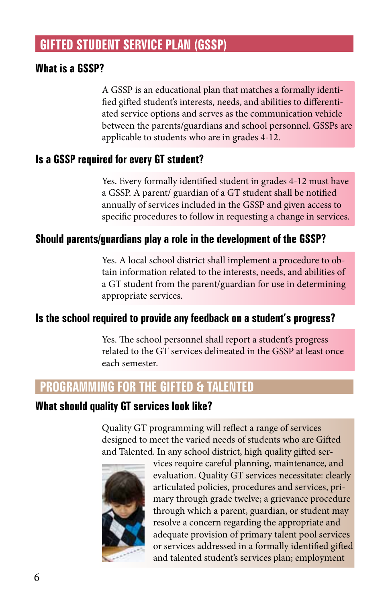# **GIFTED STUDENT SERVICE PLAN (GSSP)**

### **What is a GSSP?**

A GSSP is an educational plan that matches a formally identified gifted student's interests, needs, and abilities to differentiated service options and serves as the communication vehicle between the parents/guardians and school personnel. GSSPs are applicable to students who are in grades 4-12.

# **Is a GSSP required for every GT student?**

Yes. Every formally identified student in grades 4-12 must have a GSSP. A parent/ guardian of a GT student shall be notified annually of services included in the GSSP and given access to specific procedures to follow in requesting a change in services.

### **Should parents/guardians play a role in the development of the GSSP?**

Yes. A local school district shall implement a procedure to obtain information related to the interests, needs, and abilities of a GT student from the parent/guardian for use in determining appropriate services.

### **Is the school required to provide any feedback on a student's progress?**

Yes. The school personnel shall report a student's progress related to the GT services delineated in the GSSP at least once each semester.

# **PROGRAMMING FOR THE GIFTED & TALENTED**

### **What should quality GT services look like?**

Quality GT programming will reflect a range of services designed to meet the varied needs of students who are Gifted and Talented. In any school district, high quality gifted ser-



vices require careful planning, maintenance, and evaluation. Quality GT services necessitate: clearly articulated policies, procedures and services, primary through grade twelve; a grievance procedure through which a parent, guardian, or student may resolve a concern regarding the appropriate and adequate provision of primary talent pool services or services addressed in a formally identified gifted and talented student's services plan; employment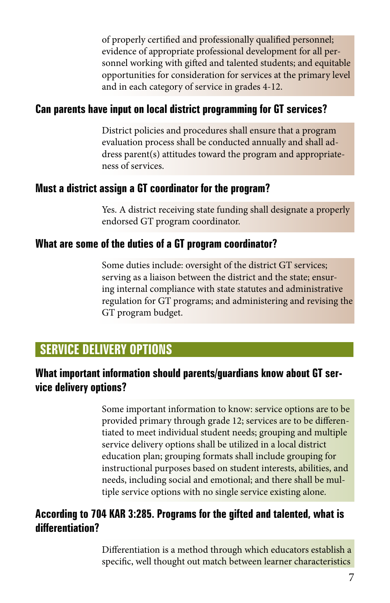of properly certified and professionally qualified personnel; evidence of appropriate professional development for all personnel working with gifted and talented students; and equitable opportunities for consideration for services at the primary level and in each category of service in grades 4-12.

# **Can parents have input on local district programming for GT services?**

District policies and procedures shall ensure that a program evaluation process shall be conducted annually and shall address parent(s) attitudes toward the program and appropriateness of services.

# **Must a district assign a GT coordinator for the program?**

Yes. A district receiving state funding shall designate a properly endorsed GT program coordinator.

# **What are some of the duties of a GT program coordinator?**

Some duties include: oversight of the district GT services; serving as a liaison between the district and the state; ensuring internal compliance with state statutes and administrative regulation for GT programs; and administering and revising the GT program budget.

# **SERVICE DELIVERY OPTIONS**

# **What important information should parents/guardians know about GT service delivery options?**

Some important information to know: service options are to be provided primary through grade 12; services are to be differentiated to meet individual student needs; grouping and multiple service delivery options shall be utilized in a local district education plan; grouping formats shall include grouping for instructional purposes based on student interests, abilities, and needs, including social and emotional; and there shall be multiple service options with no single service existing alone.

# **According to 704 KAR 3:285. Programs for the gifted and talented, what is differentiation?**

Differentiation is a method through which educators establish a specific, well thought out match between learner characteristics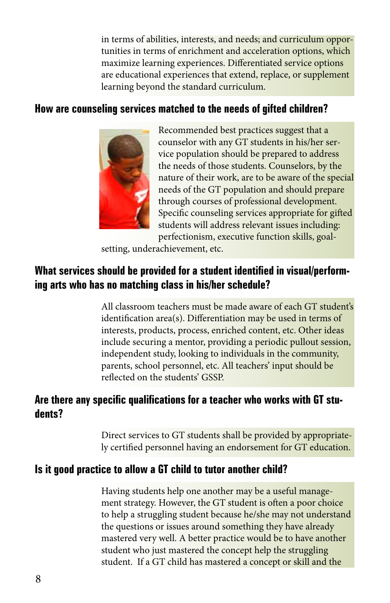in terms of abilities, interests, and needs; and curriculum opportunities in terms of enrichment and acceleration options, which maximize learning experiences. Differentiated service options are educational experiences that extend, replace, or supplement learning beyond the standard curriculum.

# **How are counseling services matched to the needs of gifted children?**



Recommended best practices suggest that a counselor with any GT students in his/her service population should be prepared to address the needs of those students. Counselors, by the nature of their work, are to be aware of the special needs of the GT population and should prepare through courses of professional development. Specific counseling services appropriate for gifted students will address relevant issues including: perfectionism, executive function skills, goal-

setting, underachievement, etc.

# **What services should be provided for a student identified in visual/performing arts who has no matching class in his/her schedule?**

All classroom teachers must be made aware of each GT student's identification area(s). Differentiation may be used in terms of interests, products, process, enriched content, etc. Other ideas include securing a mentor, providing a periodic pullout session, independent study, looking to individuals in the community, parents, school personnel, etc. All teachers' input should be reflected on the students' GSSP.

# **Are there any specific qualifications for a teacher who works with GT students?**

Direct services to GT students shall be provided by appropriately certified personnel having an endorsement for GT education.

### **Is it good practice to allow a GT child to tutor another child?**

Having students help one another may be a useful management strategy. However, the GT student is often a poor choice to help a struggling student because he/she may not understand the questions or issues around something they have already mastered very well. A better practice would be to have another student who just mastered the concept help the struggling student. If a GT child has mastered a concept or skill and the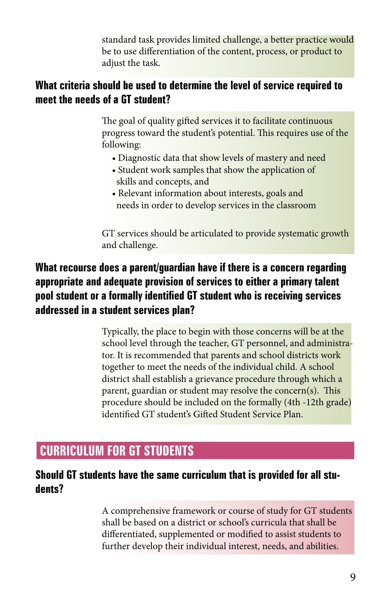standard task provides limited challenge, a better practice would be to use differentiation of the content, process, or product to adjust the task.

# **What criteria should be used to determine the level of service required to meet the needs of a GT student?**

The goal of quality gifted services it to facilitate continuous progress toward the student's potential. This requires use of the following:

- Diagnostic data that show levels of mastery and need
- Student work samples that show the application of skills and concepts, and
- Relevant information about interests, goals and needs in order to develop services in the classroom

GT services should be articulated to provide systematic growth and challenge.

# **What recourse does a parent/guardian have if there is a concern regarding appropriate and adequate provision of services to either a primary talent pool student or a formally identified GT student who is receiving services addressed in a student services plan?**

Typically, the place to begin with those concerns will be at the school level through the teacher, GT personnel, and administrator. It is recommended that parents and school districts work together to meet the needs of the individual child. A school district shall establish a grievance procedure through which a parent, guardian or student may resolve the concern(s). This procedure should be included on the formally (4th -12th grade) identified GT student's Gifted Student Service Plan.

# **CURRICULUM FOR GT STUDENTS**

# **Should GT students have the same curriculum that is provided for all students?**

A comprehensive framework or course of study for GT students shall be based on a district or school's curricula that shall be differentiated, supplemented or modified to assist students to further develop their individual interest, needs, and abilities.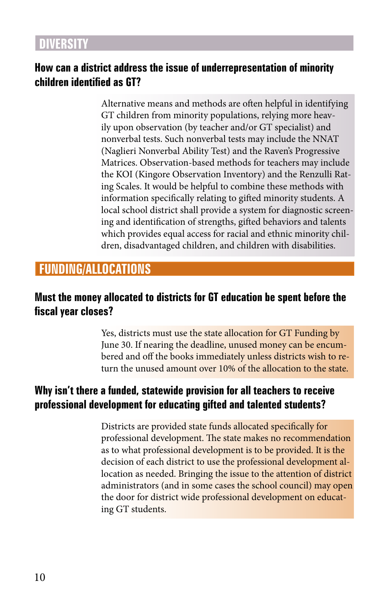# **DIVERSITY**

# **How can a district address the issue of underrepresentation of minority children identified as GT?**

Alternative means and methods are often helpful in identifying GT children from minority populations, relying more heavily upon observation (by teacher and/or GT specialist) and nonverbal tests. Such nonverbal tests may include the NNAT (Naglieri Nonverbal Ability Test) and the Raven's Progressive Matrices. Observation-based methods for teachers may include the KOI (Kingore Observation Inventory) and the Renzulli Rating Scales. It would be helpful to combine these methods with information specifically relating to gifted minority students. A local school district shall provide a system for diagnostic screening and identification of strengths, gifted behaviors and talents which provides equal access for racial and ethnic minority children, disadvantaged children, and children with disabilities.

# **FUNDING/ALLOCATIONS**

# **Must the money allocated to districts for GT education be spent before the fiscal year closes?**

Yes, districts must use the state allocation for GT Funding by June 30. If nearing the deadline, unused money can be encumbered and off the books immediately unless districts wish to return the unused amount over 10% of the allocation to the state.

# **Why isn't there a funded, statewide provision for all teachers to receive professional development for educating gifted and talented students?**

Districts are provided state funds allocated specifically for professional development. The state makes no recommendation as to what professional development is to be provided. It is the decision of each district to use the professional development allocation as needed. Bringing the issue to the attention of district administrators (and in some cases the school council) may open the door for district wide professional development on educating GT students.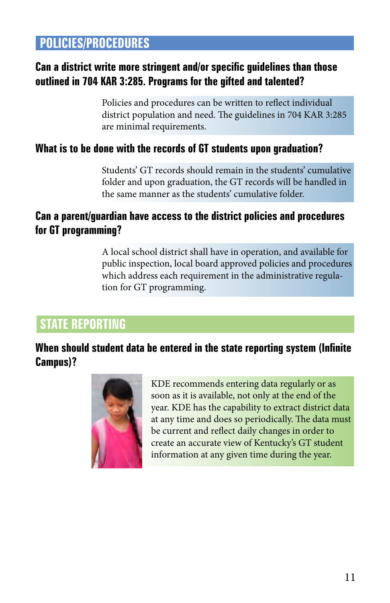# **POLICIES/PROCEDURES**

# **Can a district write more stringent and/or specific guidelines than those outlined in 704 KAR 3:285. Programs for the gifted and talented?**

Policies and procedures can be written to reflect individual district population and need. The guidelines in 704 KAR 3:285 are minimal requirements.

### **What is to be done with the records of GT students upon graduation?**

Students' GT records should remain in the students' cumulative folder and upon graduation, the GT records will be handled in the same manner as the students' cumulative folder.

# **Can a parent/guardian have access to the district policies and procedures for GT programming?**

A local school district shall have in operation, and available for public inspection, local board approved policies and procedures which address each requirement in the administrative regulation for GT programming.

# **STATE REPORTING**

# **When should student data be entered in the state reporting system (Infinite Campus)?**



KDE recommends entering data regularly or as soon as it is available, not only at the end of the year. KDE has the capability to extract district data at any time and does so periodically. The data must be current and reflect daily changes in order to create an accurate view of Kentucky's GT student information at any given time during the year.